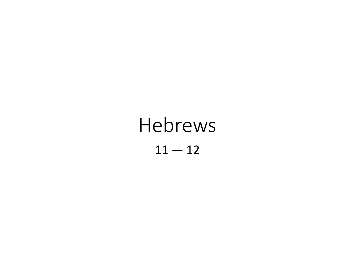# Hebrews  $11 - 12$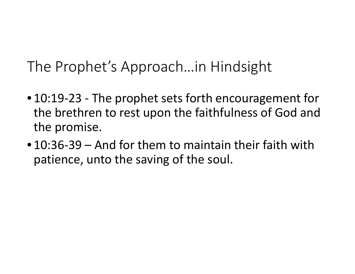The Prophet's Approach…in Hindsight

- 10:19-23 The prophet sets forth encouragement for the brethren to rest upon the faithfulness of God and the promise.
- 10:36-39 And for them to maintain their faith with patience, unto the saving of the soul.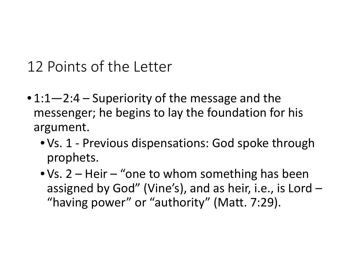- $\cdot$  1:1–2:4 Superiority of the message and the messenger; he begins to lay the foundation for his argument.
	- Vs. 1 Previous dispensations: God spoke through prophets.
	- Vs. 2 Heir "one to whom something has been assigned by God" (Vine's), and as heir, i.e., is Lord – "having power" or "authority" (Matt. 7:29).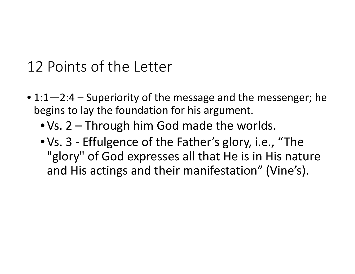- 1:1-2:4 Superiority of the message and the messenger; he begins to lay the foundation for his argument.
	- Vs. 2 Through him God made the worlds.
	- Vs. 3 Effulgence of the Father's glory, i.e., "The "glory" of God expresses all that He is in His nature and His actings and their manifestation" (Vine's).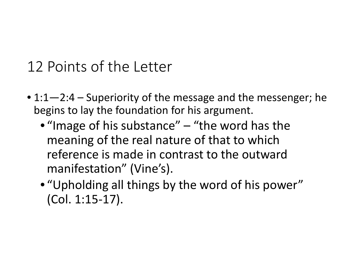- 1:1-2:4 Superiority of the message and the messenger; he begins to lay the foundation for his argument.
	- "Image of his substance" "the word has the meaning of the real nature of that to which reference is made in contrast to the outward manifestation" (Vine's).
	- "Upholding all things by the word of his power" (Col. 1:15-17).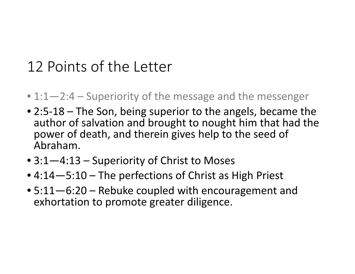- 1:1—2:4 Superiority of the message and the messenger
- 2:5-18 The Son, being superior to the angels, became the author of salvation and brought to nought him that had the power of death, and therein gives help to the seed of Abraham.
- 3:1–4:13 Superiority of Christ to Moses
- 4:14 5:10 The perfections of Christ as High Priest
- 5:11—6:20 Rebuke coupled with encouragement and exhortation to promote greater diligence.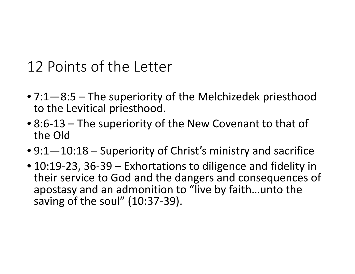- 7:1—8:5 The superiority of the Melchizedek priesthood to the Levitical priesthood.
- 8:6-13 The superiority of the New Covenant to that of the Old
- 9:1—10:18 Superiority of Christ's ministry and sacrifice
- 10:19-23, 36-39 Exhortations to diligence and fidelity in their service to God and the dangers and consequences of apostasy and an admonition to "live by faith…unto the saving of the soul" (10:37-39).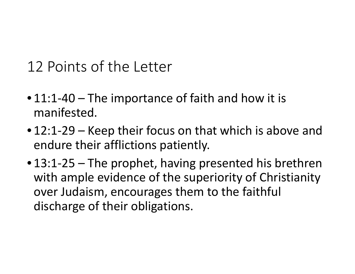- 11:1-40 The importance of faith and how it is manifested.
- 12:1-29 Keep their focus on that which is above and endure their afflictions patiently.
- 13:1-25 The prophet, having presented his brethren with ample evidence of the superiority of Christianity over Judaism, encourages them to the faithful discharge of their obligations.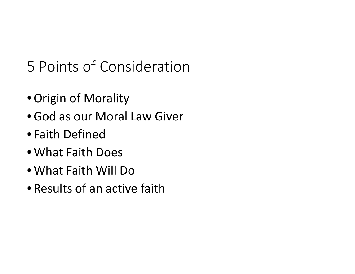# 5 Points of Consideration

- •Origin of Morality
- •God as our Moral Law Giver
- Faith Defined
- What Faith Does
- What Faith Will Do
- Results of an active faith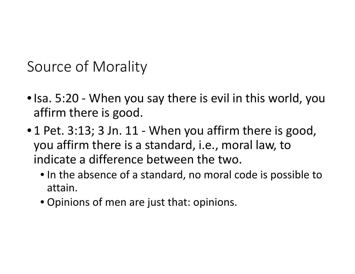Source of Morality

- Isa. 5:20 When you say there is evil in this world, you affirm there is good.
- 1 Pet. 3:13; 3 Jn. 11 When you affirm there is good, you affirm there is a standard, i.e., moral law, to indicate a difference between the two.
	- In the absence of a standard, no moral code is possible to attain.
	- Opinions of men are just that: opinions.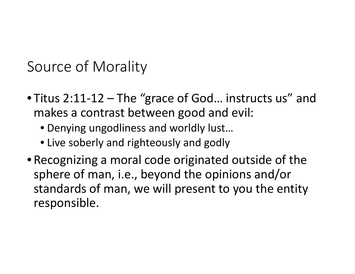Source of Morality

- Titus 2:11-12 The "grace of God… instructs us" and makes a contrast between good and evil:
	- Denying ungodliness and worldly lust…
	- Live soberly and righteously and godly
- Recognizing a moral code originated outside of the sphere of man, i.e., beyond the opinions and/or standards of man, we will present to you the entity responsible.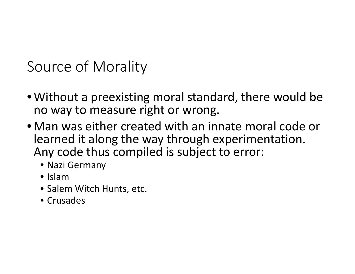Source of Morality

- Without a preexisting moral standard, there would be no way to measure right or wrong.
- Man was either created with an innate moral code or learned it along the way through experimentation. Any code thus compiled is subject to error:
	- Nazi Germany
	- Islam
	- Salem Witch Hunts, etc.
	- Crusades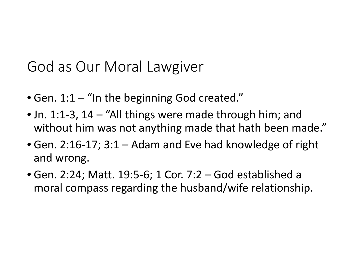## God as Our Moral Lawgiver

- Gen. 1:1 "In the beginning God created."
- Jn. 1:1-3, 14 "All things were made through him; and without him was not anything made that hath been made."
- Gen. 2:16-17; 3:1 Adam and Eve had knowledge of right and wrong.
- Gen. 2:24; Matt. 19:5-6; 1 Cor. 7:2 God established a moral compass regarding the husband/wife relationship.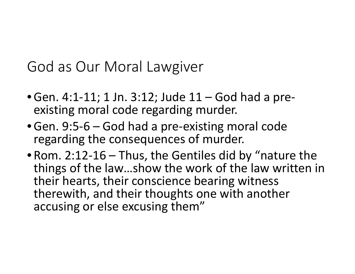#### God as Our Moral Lawgiver

- •Gen. 4:1-11; 1 Jn. 3:12; Jude 11 God had a pre- existing moral code regarding murder.
- •Gen. 9:5-6 God had a pre-existing moral code regarding the consequences of murder.
- Rom. 2:12-16 Thus, the Gentiles did by "nature the things of the law…show the work of the law written in their hearts, their conscience bearing witness therewith, and their thoughts one with another accusing or else excusing them"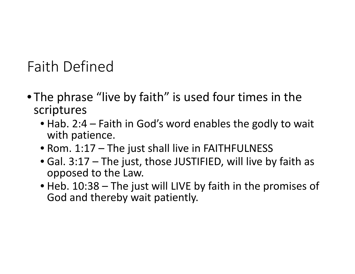# Faith Defined

- The phrase "live by faith" is used four times in the scriptures
	- Hab. 2:4 Faith in God's word enables the godly to wait with patience.
	- Rom. 1:17 The just shall live in FAITHFULNESS
	- Gal. 3:17 The just, those JUSTIFIED, will live by faith as opposed to the Law.
	- Heb. 10:38 The just will LIVE by faith in the promises of God and thereby wait patiently.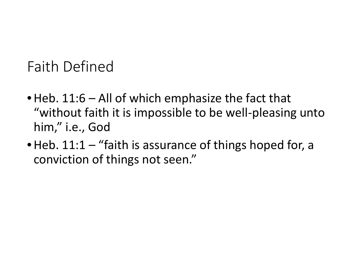# Faith Defined

- Heb. 11:6 All of which emphasize the fact that "without faith it is impossible to be well-pleasing unto him," i.e., God
- Heb. 11:1 "faith is assurance of things hoped for, a conviction of things not seen."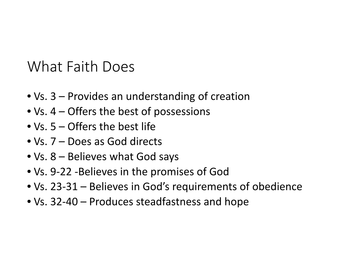#### What Faith Does

- Vs. 3 Provides an understanding of creation
- Vs. 4 Offers the best of possessions
- Vs. 5 Offers the best life
- Vs. 7 Does as God directs
- Vs. 8 Believes what God says
- Vs. 9-22 -Believes in the promises of God
- Vs. 23-31 Believes in God's requirements of obedience
- Vs. 32-40 Produces steadfastness and hope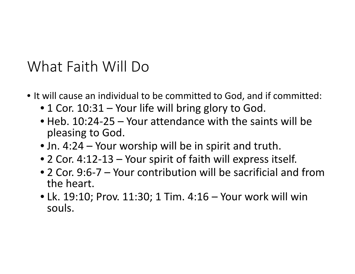#### What Faith Will Do

- It will cause an individual to be committed to God, and if committed:
	- 1 Cor. 10:31 Your life will bring glory to God.
	- Heb. 10:24-25 Your attendance with the saints will be pleasing to God.
	- Jn. 4:24 Your worship will be in spirit and truth.
	- 2 Cor. 4:12-13 Your spirit of faith will express itself.
	- 2 Cor. 9:6-7 Your contribution will be sacrificial and from the heart.
	- Lk. 19:10; Prov. 11:30; 1 Tim. 4:16 Your work will win souls.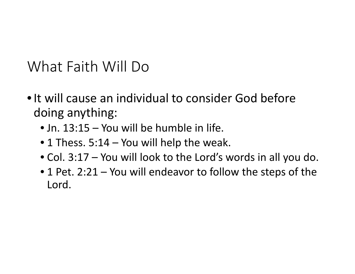What Faith Will Do

- It will cause an individual to consider God before doing anything:
	- Jn. 13:15 You will be humble in life.
	- 1 Thess. 5:14 You will help the weak.
	- Col. 3:17 You will look to the Lord's words in all you do.
	- 1 Pet. 2:21 You will endeavor to follow the steps of the Lord.